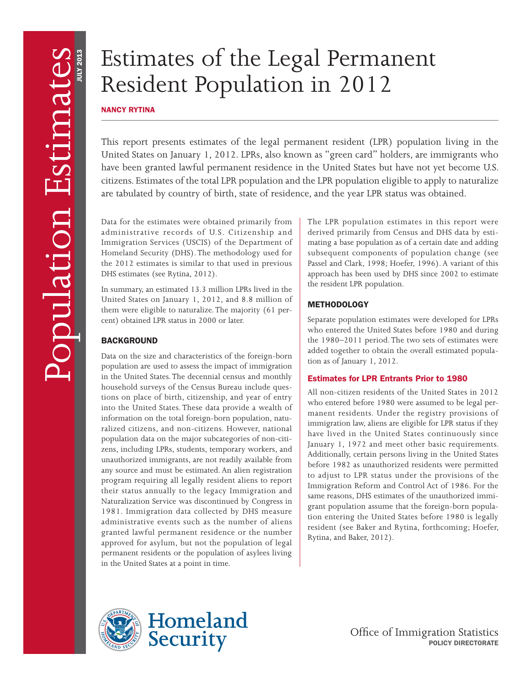# Estimates of the Legal Permanent Resident Population in 2012

# NANCY RYTINA

This report presents estimates of the legal permanent resident (LPR) population living in the United States on January 1, 2012. LPRs, also known as "green card" holders, are immigrants who have been granted lawful permanent residence in the United States but have not yet become U.S. citizens. Estimates of the total LPR population and the LPR population eligible to apply to naturalize are tabulated by country of birth, state of residence, and the year LPR status was obtained.

Data for the estimates were obtained primarily from administrative records of U.S. Citizenship and Immigration Services (USCIS) of the Department of Homeland Security (DHS). The methodology used for the 2012 estimates is similar to that used in previous DHS estimates (see Rytina, 2012).

In summary, an estimated 13.3 million LPRs lived in the United States on January 1, 2012, and 8.8 million of them were eligible to naturalize. The majority (61 percent) obtained LPR status in 2000 or later.

# **BACKGROUND**

Data on the size and characteristics of the foreign-born population are used to assess the impact of immigration in the United States. The decennial census and monthly household surveys of the Census Bureau include questions on place of birth, citizenship, and year of entry into the United States. These data provide a wealth of information on the total foreign-born population, naturalized citizens, and non-citizens. However, national population data on the major subcategories of non-citizens, including LPRs, students, temporary workers, and unauthorized immigrants, are not readily available from any source and must be estimated. An alien registration program requiring all legally resident aliens to report their status annually to the legacy Immigration and Naturalization Service was discontinued by Congress in 1981. Immigration data collected by DHS measure administrative events such as the number of aliens granted lawful permanent residence or the number approved for asylum, but not the population of legal permanent residents or the population of asylees living in the United States at a point in time.

The LPR population estimates in this report were derived primarily from Census and DHS data by estimating a base population as of a certain date and adding subsequent components of population change (see Passel and Clark, 1998; Hoefer, 1996). A variant of this approach has been used by DHS since 2002 to estimate the resident LPR population.

# **METHODOLOGY**

Separate population estimates were developed for LPRs who entered the United States before 1980 and during the 1980–2011 period. The two sets of estimates were added together to obtain the overall estimated population as of January 1, 2012.

# Estimates for LPR Entrants Prior to 1980

All non-citizen residents of the United States in 2012 who entered before 1980 were assumed to be legal permanent residents. Under the registry provisions of immigration law, aliens are eligible for LPR status if they have lived in the United States continuously since January 1, 1972 and meet other basic requirements. Additionally, certain persons living in the United States before 1982 as unauthorized residents were permitted to adjust to LPR status under the provisions of the Immigration Reform and Control Act of 1986. For the same reasons, DHS estimates of the unauthorized immigrant population assume that the foreign-born population entering the United States before 1980 is legally resident (see Baker and Rytina, forthcoming; Hoefer, Rytina, and Baker, 2012).

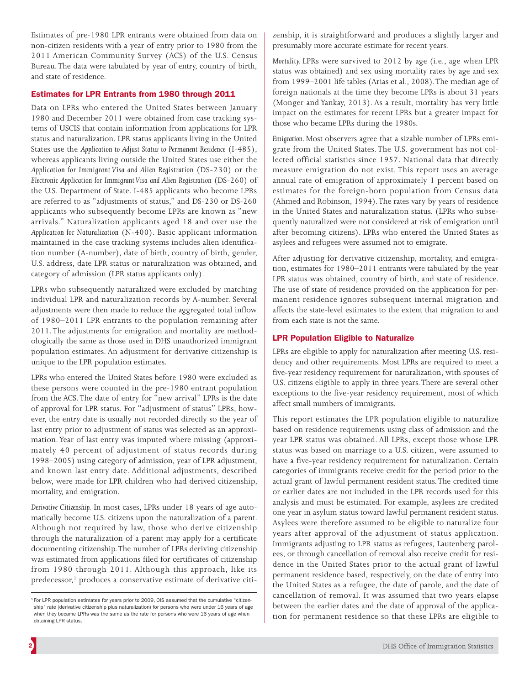Estimates of pre-1980 LPR entrants were obtained from data on non-citizen residents with a year of entry prior to 1980 from the 2011 American Community Survey (ACS) of the U.S. Census Bureau. The data were tabulated by year of entry, country of birth, and state of residence.

# Estimates for LPR Entrants from 1980 through 2011

Data on LPRs who entered the United States between January 1980 and December 2011 were obtained from case tracking systems of USCIS that contain information from applications for LPR status and naturalization. LPR status applicants living in the United States use the *Application to Adjust Status to Permanent Residence* (I-485), whereas applicants living outside the United States use either the *Application for Immigrant Visa and Alien Registration* (DS-230) or the *Electronic Application for Immigrant Visa and Alien Registration* (DS-260) of the U.S. Department of State. I-485 applicants who become LPRs are referred to as "adjustments of status," and DS-230 or DS-260 applicants who subsequently become LPRs are known as "new arrivals." Naturalization applicants aged 18 and over use the *Application for Naturalization* (N-400). Basic applicant information maintained in the case tracking systems includes alien identification number (A-number), date of birth, country of birth, gender, U.S. address, date LPR status or naturalization was obtained, and category of admission (LPR status applicants only).

LPRs who subsequently naturalized were excluded by matching individual LPR and naturalization records by A-number. Several adjustments were then made to reduce the aggregated total inflow of 1980–2011 LPR entrants to the population remaining after 2011. The adjustments for emigration and mortality are methodologically the same as those used in DHS unauthorized immigrant population estimates. An adjustment for derivative citizenship is unique to the LPR population estimates.

LPRs who entered the United States before 1980 were excluded as these persons were counted in the pre-1980 entrant population from the ACS. The date of entry for "new arrival" LPRs is the date of approval for LPR status. For "adjustment of status" LPRs, however, the entry date is usually not recorded directly so the year of last entry prior to adjustment of status was selected as an approximation. Year of last entry was imputed where missing (approximately 40 percent of adjustment of status records during 1998–2005) using category of admission, year of LPR adjustment, and known last entry date. Additional adjustments, described below, were made for LPR children who had derived citizenship, mortality, and emigration.

*Derivative Citizenship.* In most cases, LPRs under 18 years of age automatically become U.S. citizens upon the naturalization of a parent. Although not required by law, those who derive citizenship through the naturalization of a parent may apply for a certificate documenting citizenship. The number of LPRs deriving citizenship was estimated from applications filed for certificates of citizenship from 1980 through 2011. Although this approach, like its predecessor,<sup>1</sup> produces a conservative estimate of derivative citizenship, it is straightforward and produces a slightly larger and presumably more accurate estimate for recent years.

*Mortality.* LPRs were survived to 2012 by age (i.e., age when LPR status was obtained) and sex using mortality rates by age and sex from 1999–2001 life tables (Arias et al., 2008). The median age of foreign nationals at the time they become LPRs is about 31 years (Monger and Yankay, 2013). As a result, mortality has very little impact on the estimates for recent LPRs but a greater impact for those who became LPRs during the 1980s.

*Emigration.* Most observers agree that a sizable number of LPRs emigrate from the United States. The U.S. government has not collected official statistics since 1957. National data that directly measure emigration do not exist. This report uses an average annual rate of emigration of approximately 1 percent based on estimates for the foreign-born population from Census data (Ahmed and Robinson, 1994). The rates vary by years of residence in the United States and naturalization status. (LPRs who subsequently naturalized were not considered at risk of emigration until after becoming citizens). LPRs who entered the United States as asylees and refugees were assumed not to emigrate.

After adjusting for derivative citizenship, mortality, and emigration, estimates for 1980–2011 entrants were tabulated by the year LPR status was obtained, country of birth, and state of residence. The use of state of residence provided on the application for permanent residence ignores subsequent internal migration and affects the state-level estimates to the extent that migration to and from each state is not the same.

# LPR Population Eligible to Naturalize

LPRs are eligible to apply for naturalization after meeting U.S. residency and other requirements. Most LPRs are required to meet a five-year residency requirement for naturalization, with spouses of U.S. citizens eligible to apply in three years. There are several other exceptions to the five-year residency requirement, most of which affect small numbers of immigrants.

This report estimates the LPR population eligible to naturalize based on residence requirements using class of admission and the year LPR status was obtained. All LPRs, except those whose LPR status was based on marriage to a U.S. citizen, were assumed to have a five-year residency requirement for naturalization. Certain categories of immigrants receive credit for the period prior to the actual grant of lawful permanent resident status. The credited time or earlier dates are not included in the LPR records used for this analysis and must be estimated. For example, asylees are credited one year in asylum status toward lawful permanent resident status. Asylees were therefore assumed to be eligible to naturalize four years after approval of the adjustment of status application. Immigrants adjusting to LPR status as refugees, Lautenberg parolees, or through cancellation of removal also receive credit for residence in the United States prior to the actual grant of lawful permanent residence based, respectively, on the date of entry into the United States as a refugee, the date of parole, and the date of cancellation of removal. It was assumed that two years elapse between the earlier dates and the date of approval of the application for permanent residence so that these LPRs are eligible to

<sup>&</sup>lt;sup>1</sup> For LPR population estimates for years prior to 2009, OIS assumed that the cumulative "citizenship" rate (derivative citizenship plus naturalization) for persons who were under 16 years of age when they became LPRs was the same as the rate for persons who were 16 years of age when obtaining LPR status.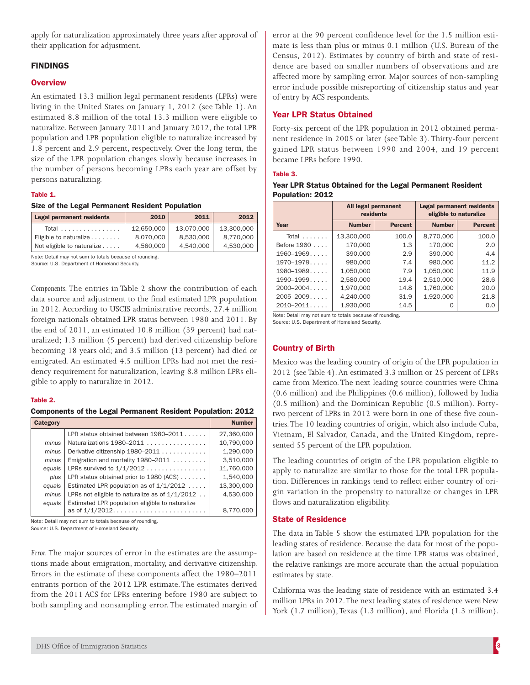apply for naturalization approximately three years after approval of their application for adjustment.

# FINDINGS

## **Overview**

An estimated 13.3 million legal permanent residents (LPRs) were living in the United States on January 1, 2012 (see Table 1). An estimated 8.8 million of the total 13.3 million were eligible to naturalize. Between January 2011 and January 2012, the total LPR population and LPR population eligible to naturalize increased by 1.8 percent and 2.9 percent, respectively. Over the long term, the size of the LPR population changes slowly because increases in the number of persons becoming LPRs each year are offset by persons naturalizing.

#### Table 1.

#### Size of the Legal Permanent Resident Population

| <b>Legal permanent residents</b> | 2010       | 2011       | 2012       |
|----------------------------------|------------|------------|------------|
| Total                            | 12.650.000 | 13,070,000 | 13.300.000 |
| Eligible to naturalize           | 8.070.000  | 8.530.000  | 8.770.000  |
| Not eligible to naturalize       | 4.580.000  | 4,540,000  | 4,530,000  |

Note: Detail may not sum to totals because of rounding.

Source: U.S. Department of Homeland Security.

*Components.* The entries in Table 2 show the contribution of each data source and adjustment to the final estimated LPR population in 2012. According to USCIS administrative records, 27.4 million foreign nationals obtained LPR status between 1980 and 2011. By the end of 2011, an estimated 10.8 million (39 percent) had naturalized; 1.3 million (5 percent) had derived citizenship before becoming 18 years old; and 3.5 million (13 percent) had died or emigrated. An estimated 4.5 million LPRs had not met the residency requirement for naturalization, leaving 8.8 million LPRs eligible to apply to naturalize in 2012.

#### Table 2.

Components of the Legal Permanent Resident Population: 2012

| Category |                                                                       | <b>Number</b> |
|----------|-----------------------------------------------------------------------|---------------|
|          | LPR status obtained between 1980–2011                                 | 27,360,000    |
| minus    | Naturalizations 1980–2011                                             | 10,790,000    |
| minus    | Derivative citizenship 1980–2011                                      | 1,290,000     |
| minus    | Emigration and mortality $1980 - 2011$                                | 3,510,000     |
| equals   | LPRs survived to $1/1/2012$                                           | 11,760,000    |
| plus     | LPR status obtained prior to 1980 (ACS)                               | 1.540.000     |
| equals   | Estimated LPR population as of $1/1/2012$                             | 13,300,000    |
| minus    | LPRs not eligible to naturalize as of $1/1/2012$                      | 4.530.000     |
| equals   | Estimated LPR population eligible to naturalize<br>as of $1/1/2012$ . | 8,770,000     |

Note: Detail may not sum to totals because of rounding.

Source: U.S. Department of Homeland Security.

*Error.* The major sources of error in the estimates are the assumptions made about emigration, mortality, and derivative citizenship. Errors in the estimate of these components affect the 1980–2011 entrants portion of the 2012 LPR estimate. The estimates derived from the 2011 ACS for LPRs entering before 1980 are subject to both sampling and nonsampling error. The estimated margin of error at the 90 percent confidence level for the 1.5 million estimate is less than plus or minus 0.1 million (U.S. Bureau of the Census, 2012). Estimates by country of birth and state of residence are based on smaller numbers of observations and are affected more by sampling error. Major sources of non-sampling error include possible misreporting of citizenship status and year of entry by ACS respondents.

# Year LPR Status Obtained

Forty-six percent of the LPR population in 2012 obtained permanent residence in 2005 or later (see Table 3). Thirty-four percent gained LPR status between 1990 and 2004, and 19 percent became LPRs before 1990.

#### Table 3.

#### Year LPR Status Obtained for the Legal Permanent Resident Population: 2012

|                | <b>All legal permanent</b><br>residents |                | <b>Legal permanent residents</b><br>eligible to naturalize |                |
|----------------|-----------------------------------------|----------------|------------------------------------------------------------|----------------|
| Year           | <b>Number</b>                           | <b>Percent</b> | <b>Number</b>                                              | <b>Percent</b> |
| Total $\ldots$ | 13,300,000                              | 100.0          | 8,770,000                                                  | 100.0          |
| Before 1960    | 170,000                                 | 1.3            | 170,000                                                    | 2.0            |
| $1960 - 1969$  | 390,000                                 | 2.9            | 390,000                                                    | 4.4            |
| $1970 - 1979$  | 980,000                                 | 7.4            | 980,000                                                    | 11.2           |
| $1980 - 1989$  | 1,050,000                               | 7.9            | 1,050,000                                                  | 11.9           |
| $1990 - 1999$  | 2,580,000                               | 19.4           | 2,510,000                                                  | 28.6           |
| $2000 - 2004$  | 1,970,000                               | 14.8           | 1,760,000                                                  | 20.0           |
| $2005 - 2009$  | 4,240,000                               | 31.9           | 1,920,000                                                  | 21.8           |
| $2010 - 2011$  | 1.930.000                               | 14.5           |                                                            | 0.0            |

Note: Detail may not sum to totals because of rounding. Source: U.S. Department of Homeland Security.

# Country of Birth

Mexico was the leading country of origin of the LPR population in 2012 (see Table 4). An estimated 3.3 million or 25 percent of LPRs came from Mexico. The next leading source countries were China (0.6 million) and the Philippines (0.6 million), followed by India (0.5 million) and the Dominican Republic (0.5 million). Fortytwo percent of LPRs in 2012 were born in one of these five countries. The 10 leading countries of origin, which also include Cuba, Vietnam, El Salvador, Canada, and the United Kingdom, represented 55 percent of the LPR population.

The leading countries of origin of the LPR population eligible to apply to naturalize are similar to those for the total LPR population. Differences in rankings tend to reflect either country of origin variation in the propensity to naturalize or changes in LPR flows and naturalization eligibility.

## State of Residence

The data in Table 5 show the estimated LPR population for the leading states of residence. Because the data for most of the population are based on residence at the time LPR status was obtained, the relative rankings are more accurate than the actual population estimates by state.

California was the leading state of residence with an estimated 3.4 million LPRs in 2012. The next leading states of residence were New York (1.7 million), Texas (1.3 million), and Florida (1.3 million).